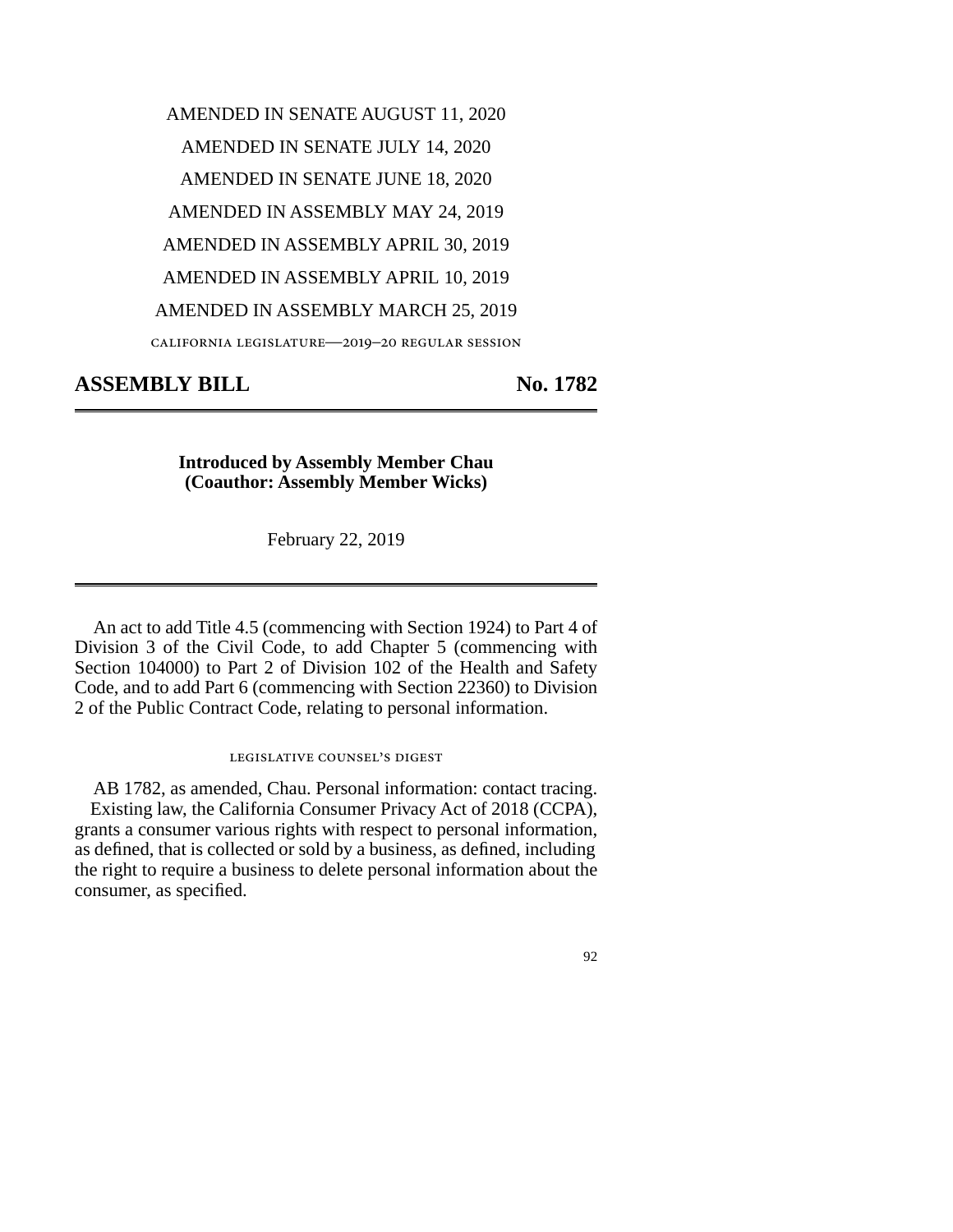## AMENDED IN SENATE AUGUST 11, 2020 AMENDED IN SENATE JULY 14, 2020 AMENDED IN SENATE JUNE 18, 2020 AMENDED IN ASSEMBLY MAY 24, 2019 AMENDED IN ASSEMBLY APRIL 30, 2019 AMENDED IN ASSEMBLY APRIL 10, 2019 AMENDED IN ASSEMBLY MARCH 25, 2019 california legislature—2019–20 regular session

**ASSEMBLY BILL No. 1782** 

**Introduced by Assembly Member Chau (Coauthor: Assembly Member Wicks)** 

February 22, 2019

An act to add Title 4.5 (commencing with Section 1924) to Part 4 of Division 3 of the Civil Code, to add Chapter 5 (commencing with Section 104000) to Part 2 of Division 102 of the Health and Safety Code, and to add Part 6 (commencing with Section 22360) to Division 2 of the Public Contract Code, relating to personal information.

## legislative counsel's digest

AB 1782, as amended, Chau. Personal information: contact tracing. Existing law, the California Consumer Privacy Act of 2018 (CCPA), grants a consumer various rights with respect to personal information, as defined, that is collected or sold by a business, as defined, including the right to require a business to delete personal information about the consumer, as specified.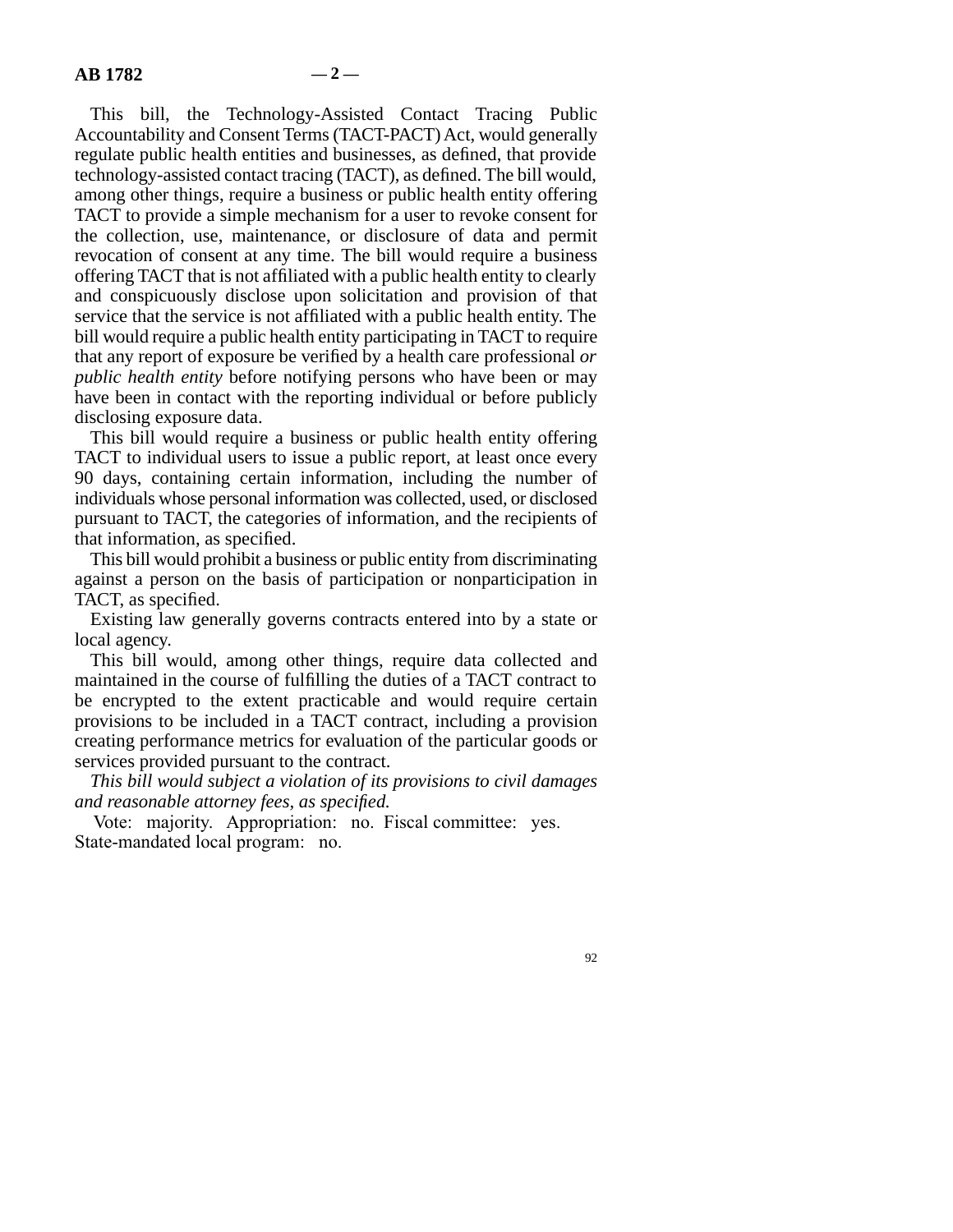This bill, the Technology-Assisted Contact Tracing Public Accountability and Consent Terms (TACT-PACT) Act, would generally regulate public health entities and businesses, as defined, that provide technology-assisted contact tracing (TACT), as defined. The bill would, among other things, require a business or public health entity offering TACT to provide a simple mechanism for a user to revoke consent for the collection, use, maintenance, or disclosure of data and permit revocation of consent at any time. The bill would require a business offering TACT that is not affiliated with a public health entity to clearly and conspicuously disclose upon solicitation and provision of that service that the service is not affiliated with a public health entity. The bill would require a public health entity participating in TACT to require that any report of exposure be verified by a health care professional *or public health entity* before notifying persons who have been or may have been in contact with the reporting individual or before publicly disclosing exposure data.

This bill would require a business or public health entity offering TACT to individual users to issue a public report, at least once every 90 days, containing certain information, including the number of individuals whose personal information was collected, used, or disclosed pursuant to TACT, the categories of information, and the recipients of that information, as specified.

This bill would prohibit a business or public entity from discriminating against a person on the basis of participation or nonparticipation in TACT, as specified.

Existing law generally governs contracts entered into by a state or local agency.

This bill would, among other things, require data collected and maintained in the course of fulfilling the duties of a TACT contract to be encrypted to the extent practicable and would require certain provisions to be included in a TACT contract, including a provision creating performance metrics for evaluation of the particular goods or services provided pursuant to the contract.

*This bill would subject a violation of its provisions to civil damages and reasonable attorney fees, as specified.* 

Vote: majority. Appropriation: no. Fiscal committee: yes. State-mandated local program: no.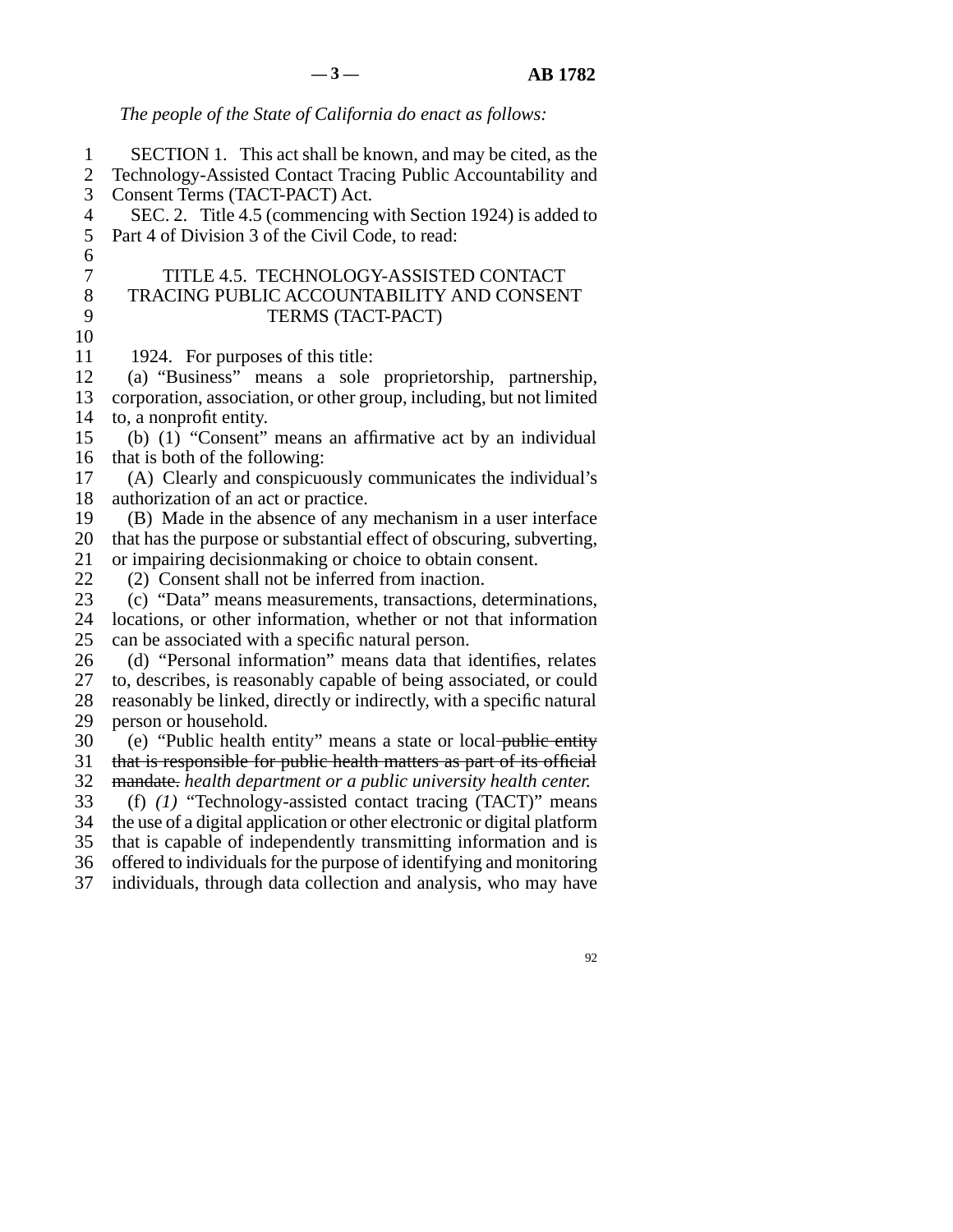## *The people of the State of California do enact as follows:*

 line 1 SECTION 1. This act shall be known, and may be cited, as the 2 Technology-Assisted Contact Tracing Public Accountability and 3 Consent Terms (TACT-PACT) Act. 4 SEC. 2. Title 4.5 (commencing with Section 1924) is added to 5 Part 4 of Division 3 of the Civil Code, to read:  $6 \epsilon$  line 7 TITLE 4.5. TECHNOLOGY-ASSISTED CONTACT 8 TRACING PUBLIC ACCOUNTABILITY AND CONSENT 9 TERMS (TACT-PACT) 10 11 1924. For purposes of this title:<br>12 (a) "Business" means a sole (a) "Business" means a sole proprietorship, partnership, 13 corporation, association, or other group, including, but not limited 14 to, a nonprofit entity. 15 (b)  $(1)$  "Consent" means an affirmative act by an individual 16 that is both of the following: 17 (A) Clearly and conspicuously communicates the individual's 18 authorization of an act or practice. 19 (B) Made in the absence of any mechanism in a user interface 20 that has the purpose or substantial effect of obscuring, subverting, 21 or impairing decisionmaking or choice to obtain consent. 22 (2) Consent shall not be inferred from inaction.<br>23 (c) "Data" means measurements, transactions, or line 23 (c) "Data" means measurements, transactions, determinations, 24 locations, or other information, whether or not that information 25 can be associated with a specific natural person. 26 (d) "Personal information" means data that identifies, relates 27 to, describes, is reasonably capable of being associated, or could 28 reasonably be linked, directly or indirectly, with a specific natural 29 person or household. 30 (e) "Public health entity" means a state or local public entity 31 that is responsible for public health matters as part of its official 32 mandate. *health department or a public university health center.*  line 33 (f) *(1)* "Technology-assisted contact tracing (TACT)" means 34 the use of a digital application or other electronic or digital platform 35 that is capable of independently transmitting information and is 36 offered to individuals for the purpose of identifying and monitoring 37 individuals, through data collection and analysis, who may have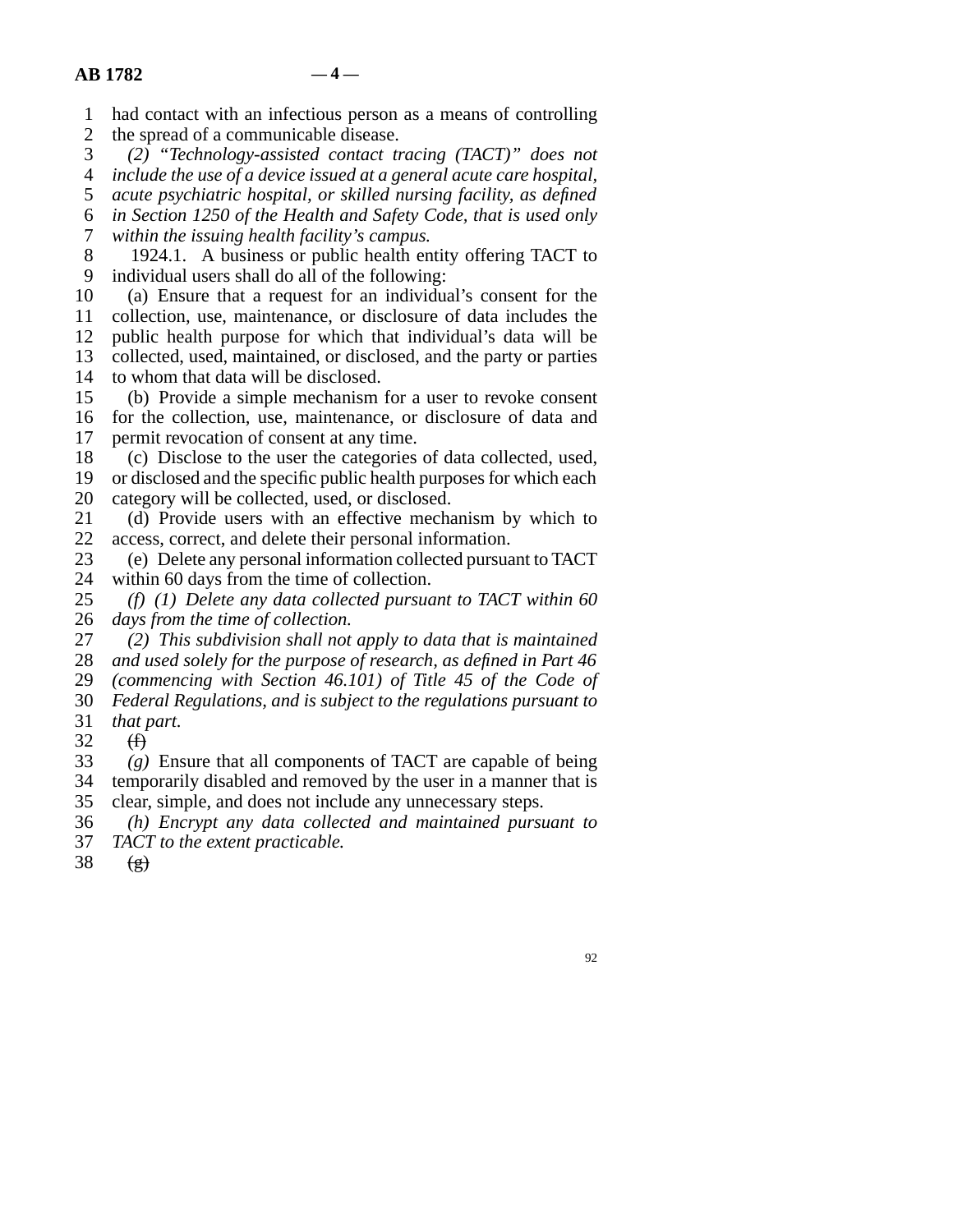- 1 had contact with an infectious person as a means of controlling
- 2 the spread of a communicable disease.<br>3 (2) "Technology-assisted contact to line 3 *(2) "Technology-assisted contact tracing (TACT)" does not*
- line 4 *include the use of a device issued at a general acute care hospital,*
- 5 *acute psychiatric hospital, or skilled nursing facility, as defined*
- line 6 *in Section 1250 of the Health and Safety Code, that is used only*

line 7 *within the issuing health facility's campus.* 

- 8 1924.1. A business or public health entity offering TACT to 9 individual users shall do all of the following:
- 10 (a) Ensure that a request for an individual's consent for the 11 collection, use, maintenance, or disclosure of data includes the 12 public health purpose for which that individual's data will be 13 collected, used, maintained, or disclosed, and the party or parties 14 to whom that data will be disclosed.
- 15 (b) Provide a simple mechanism for a user to revoke consent 16 for the collection, use, maintenance, or disclosure of data and 17 permit revocation of consent at any time.
- 18 (c) Disclose to the user the categories of data collected, used,
- 19 or disclosed and the specific public health purposes for which each 20 category will be collected, used, or disclosed.
- 21 (d) Provide users with an effective mechanism by which to 22 access, correct, and delete their personal information.
- 23 (e) Delete any personal information collected pursuant to TACT
- 24 within 60 days from the time of collection.<br>25 (f) (1) Delete any data collected pursual  $\ell(f)$  (1) Delete any data collected pursuant to TACT within 60 26 *days from the time of collection.*
- line 27 *(2) This subdivision shall not apply to data that is maintained*  28 *and used solely for the purpose of research, as defined in Part 46* 29 *(commencing with Section 46.101) of Title 45 of the Code of* line 30 *Federal Regulations, and is subject to the regulations pursuant to*
- 31 *that part.*
- $\begin{matrix} 32 & (f) \\ 33 & (g) \end{matrix}$
- $\zeta(g)$  Ensure that all components of TACT are capable of being 34 temporarily disabled and removed by the user in a manner that is
- 35 clear, simple, and does not include any unnecessary steps.
- line 36 *(h) Encrypt any data collected and maintained pursuant to*
- 37 *TACT to the extent practicable.*
- 38  $(g)$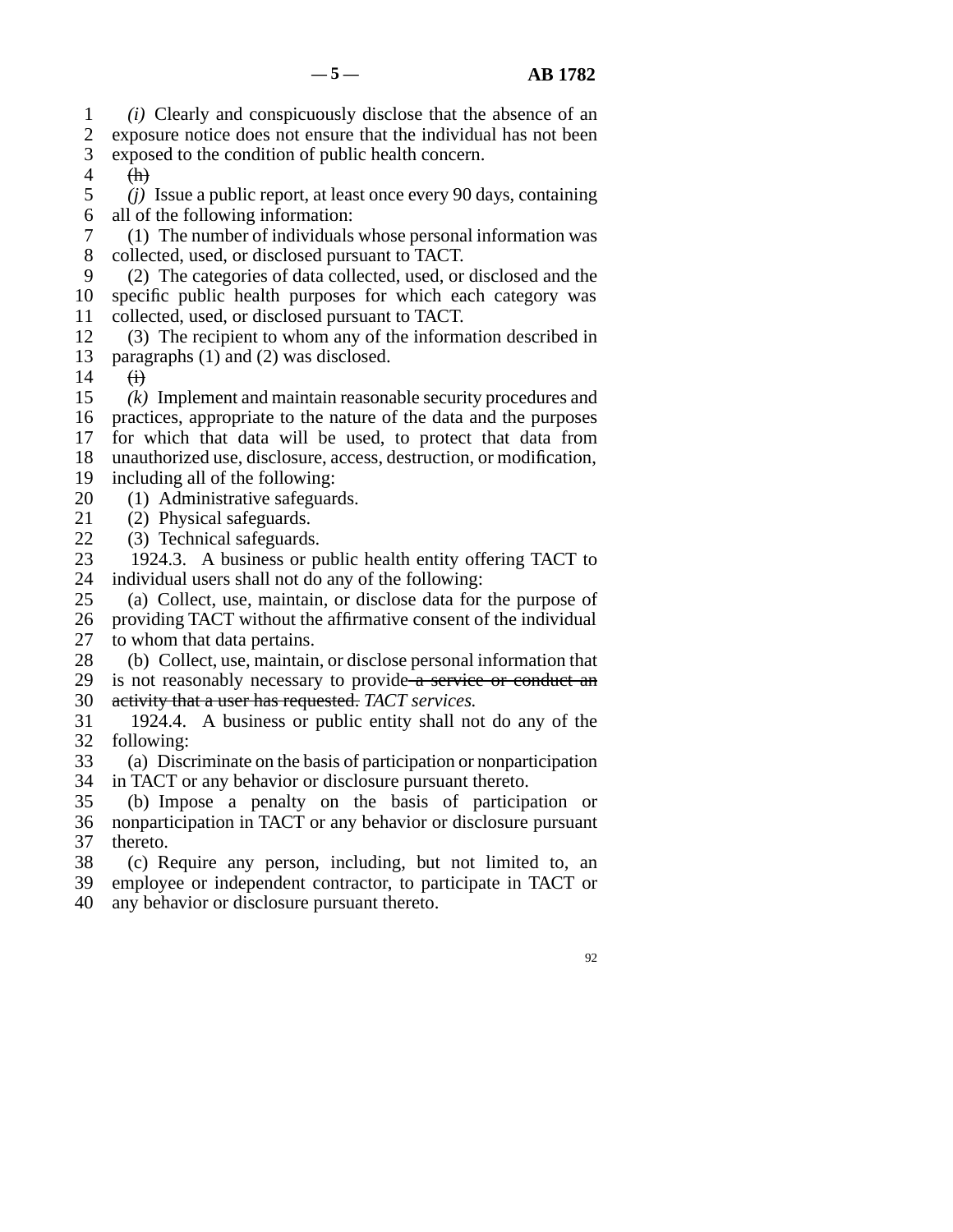line 1 *(i)* Clearly and conspicuously disclose that the absence of an 2 exposure notice does not ensure that the individual has not been

- 3 exposed to the condition of public health concern.
- $4$  (h)

 line 5 *(j)* Issue a public report, at least once every 90 days, containing 6 all of the following information:

7 (1) The number of individuals whose personal information was 8 collected, used, or disclosed pursuant to TACT.

 line 9 (2) The categories of data collected, used, or disclosed and the 10 specific public health purposes for which each category was 11 collected, used, or disclosed pursuant to TACT.

12 (3) The recipient to whom any of the information described in 13 paragraphs  $(1)$  and  $(2)$  was disclosed.

 $14 \quad \overrightarrow{ii}$ 

15 (k) Implement and maintain reasonable security procedures and

16 practices, appropriate to the nature of the data and the purposes

17 for which that data will be used, to protect that data from

18 unauthorized use, disclosure, access, destruction, or modification,

19 including all of the following:

20 (1) Administrative safeguards.

21 (2) Physical safeguards.

22 (3) Technical safeguards.<br>23 1924.3. A business or  $p$ 

1924.3. A business or public health entity offering TACT to 24 individual users shall not do any of the following:<br>25 (a) Collect, use, maintain, or disclose data for

(a) Collect, use, maintain, or disclose data for the purpose of

26 providing TACT without the affirmative consent of the individual

27 to whom that data pertains.

28 (b) Collect, use, maintain, or disclose personal information that

29 is not reasonably necessary to provide  $\alpha$  service or conduct an

30 activity that a user has requested. *TACT services*.

31 1924.4. A business or public entity shall not do any of the 32 following:

33 (a) Discriminate on the basis of participation or nonparticipation

34 in TACT or any behavior or disclosure pursuant thereto.

35 (b) Impose a penalty on the basis of participation or 36 nonparticipation in TACT or any behavior or disclosure pursuant 37 thereto.

38 (c) Require any person, including, but not limited to, an

39 employee or independent contractor, to participate in TACT or

40 any behavior or disclosure pursuant thereto.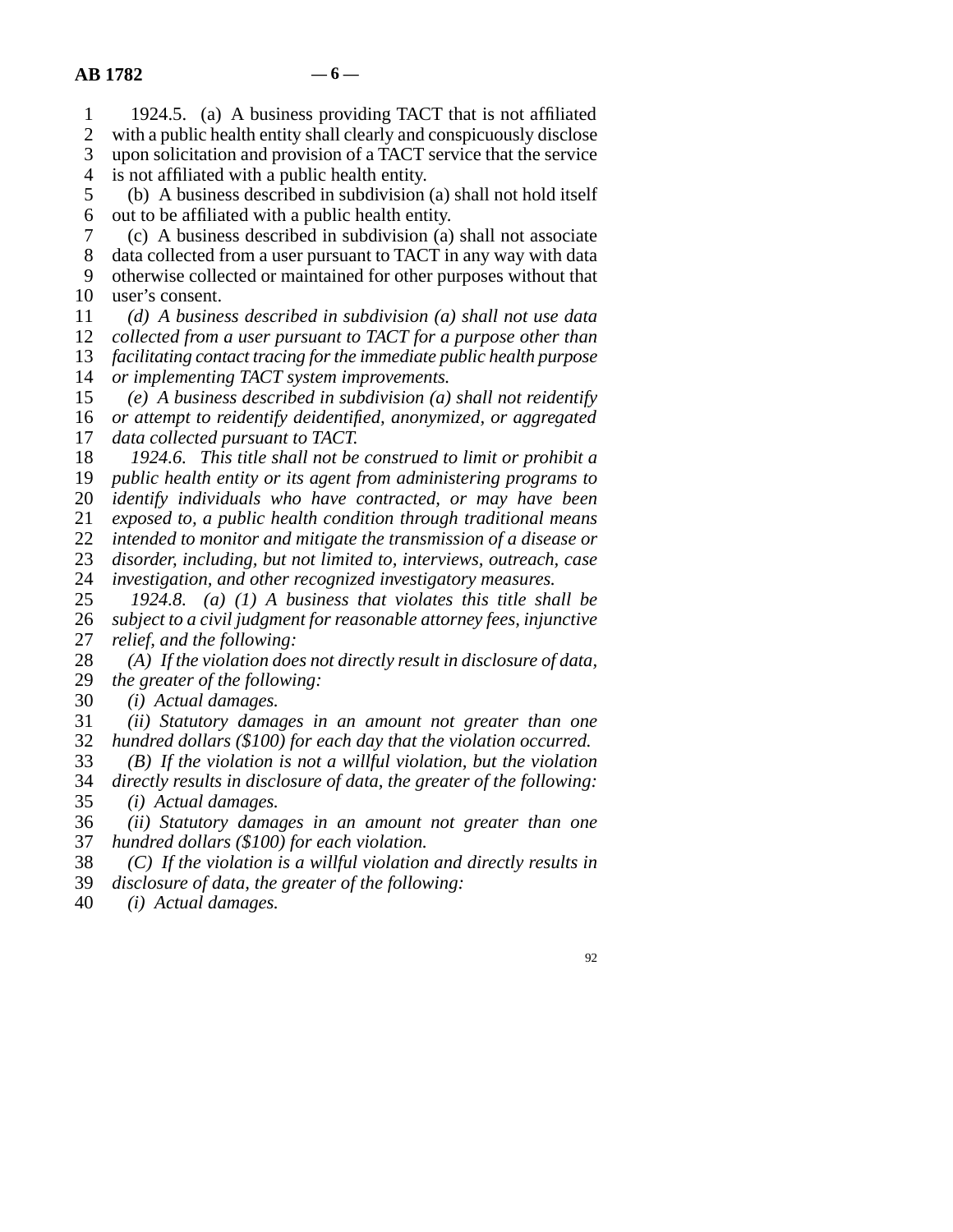1 1924.5. (a) A business providing TACT that is not affiliated 2 with a public health entity shall clearly and conspicuously disclose<br>3 upon solicitation and provision of a TACT service that the service upon solicitation and provision of a TACT service that the service 4 is not affiliated with a public health entity. line 5 (b) A business described in subdivision (a) shall not hold itself 6 out to be affiliated with a public health entity. line 7 (c) A business described in subdivision (a) shall not associate 8 data collected from a user pursuant to TACT in any way with data 9 otherwise collected or maintained for other purposes without that 10 user's consent. line 11 *(d) A business described in subdivision (a) shall not use data*  12 *collected from a user pursuant to TACT for a purpose other than* 13 *facilitating contact tracing for the immediate public health purpose* 14 *or implementing TACT system improvements.*  line 15 *(e) A business described in subdivision (a) shall not reidentify*  16 *or attempt to reidentify deidentified, anonymized, or aggregated* 17 *data collected pursuant to TACT.* 18 1924.6. This title shall not be construed to limit or prohibit a 19 *public health entity or its agent from administering programs to* 20 *identify individuals who have contracted, or may have been*  line 21 *exposed to, a public health condition through traditional means*  22 *intended to monitor and mitigate the transmission of a disease or* 23 *disorder, including, but not limited to, interviews, outreach, case* 24 *investigation, and other recognized investigatory measures.*<br>25 1924.8. (a) (1) A business that violates this title sha  $1924.8$ . *(a)*  $(1)$  *A business that violates this title shall be* 26 *subject to a civil judgment for reasonable attorney fees, injunctive* 27 *relief, and the following:* 28 (A) If the violation does not directly result in disclosure of data, 29 *the greater of the following:* 30 *(i) Actual damages.* 

 line 31 *(ii) Statutory damages in an amount not greater than one*  32 *hundred dollars (\$100) for each day that the violation occurred.*<br>33 (*B*) If the violation is not a willful violation, but the violation

(B) If the violation is not a willful violation, but the violation line 34 *directly results in disclosure of data, the greater of the following:*  35 *(i) Actual damages.* 

 line 36 *(ii) Statutory damages in an amount not greater than one*  37 *hundred dollars (\$100) for each violation.* 

18 (C) If the violation is a willful violation and directly results in disclosure of data, the greater of the following:

- disclosure of data, the greater of the following:
- line 40 *(i) Actual damages.*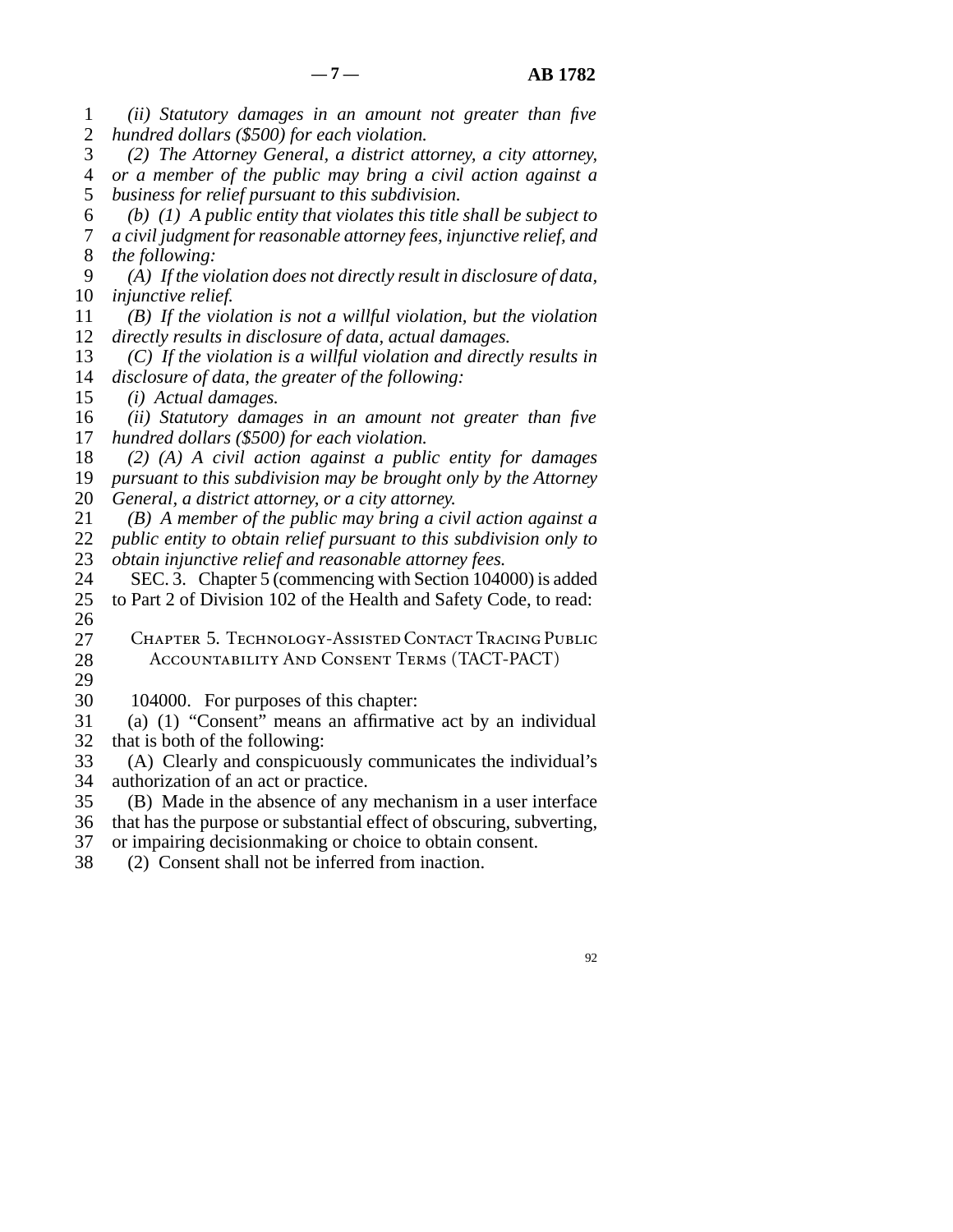- line 1 *(ii) Statutory damages in an amount not greater than five*  2 *hundred dollars (\$500) for each violation.*
- line 3 *(2) The Attorney General, a district attorney, a city attorney,*  line 4 *or a member of the public may bring a civil action against a*  5 *business for relief pursuant to this subdivision.*
- line 6 *(b) (1) A public entity that violates this title shall be subject to*  line 7 *a civil judgment for reasonable attorney fees, injunctive relief, and*  8 *the following:*
- line 9 *(A) If the violation does not directly result in disclosure of data,*  10 *injunctive relief.*
- line 11 *(B) If the violation is not a willful violation, but the violation*  12 *directly results in disclosure of data, actual damages.*
- 13 (C) If the violation is a willful violation and directly results in 14 *disclosure of data, the greater of the following:*
- 15 *(i) Actual damages.*
- 16 *(ii)* Statutory damages in an amount not greater than five 17 *hundred dollars (\$500) for each violation.*
- line 18 *(2) (A) A civil action against a public entity for damages*
- 19 *pursuant to this subdivision may be brought only by the Attorney* 20 *General, a district attorney, or a city attorney.*
- line 21 *(B) A member of the public may bring a civil action against a*  22 *public entity to obtain relief pursuant to this subdivision only to*
- 23 *obtain injunctive relief and reasonable attorney fees.*
- 24 SEC. 3. Chapter 5 (commencing with Section 104000) is added<br>25 to Part 2 of Division 102 of the Health and Safety Code, to read: to Part 2 of Division 102 of the Health and Safety Code, to read:
- $\frac{26}{27}$ CHAPTER 5. TECHNOLOGY-ASSISTED CONTACT TRACING PUBLIC 28 ACCOUNTABILITY AND CONSENT TERMS (TACT-PACT)
- 29
- 30 104000. For purposes of this chapter:
- 31 (a) (1) "Consent" means an affirmative act by an individual 32 that is both of the following:
- 33 (A) Clearly and conspicuously communicates the individual's 34 authorization of an act or practice.
- 35 (B) Made in the absence of any mechanism in a user interface
- 36 that has the purpose or substantial effect of obscuring, subverting,
- 37 or impairing decisionmaking or choice to obtain consent.
- 38 (2) Consent shall not be inferred from inaction.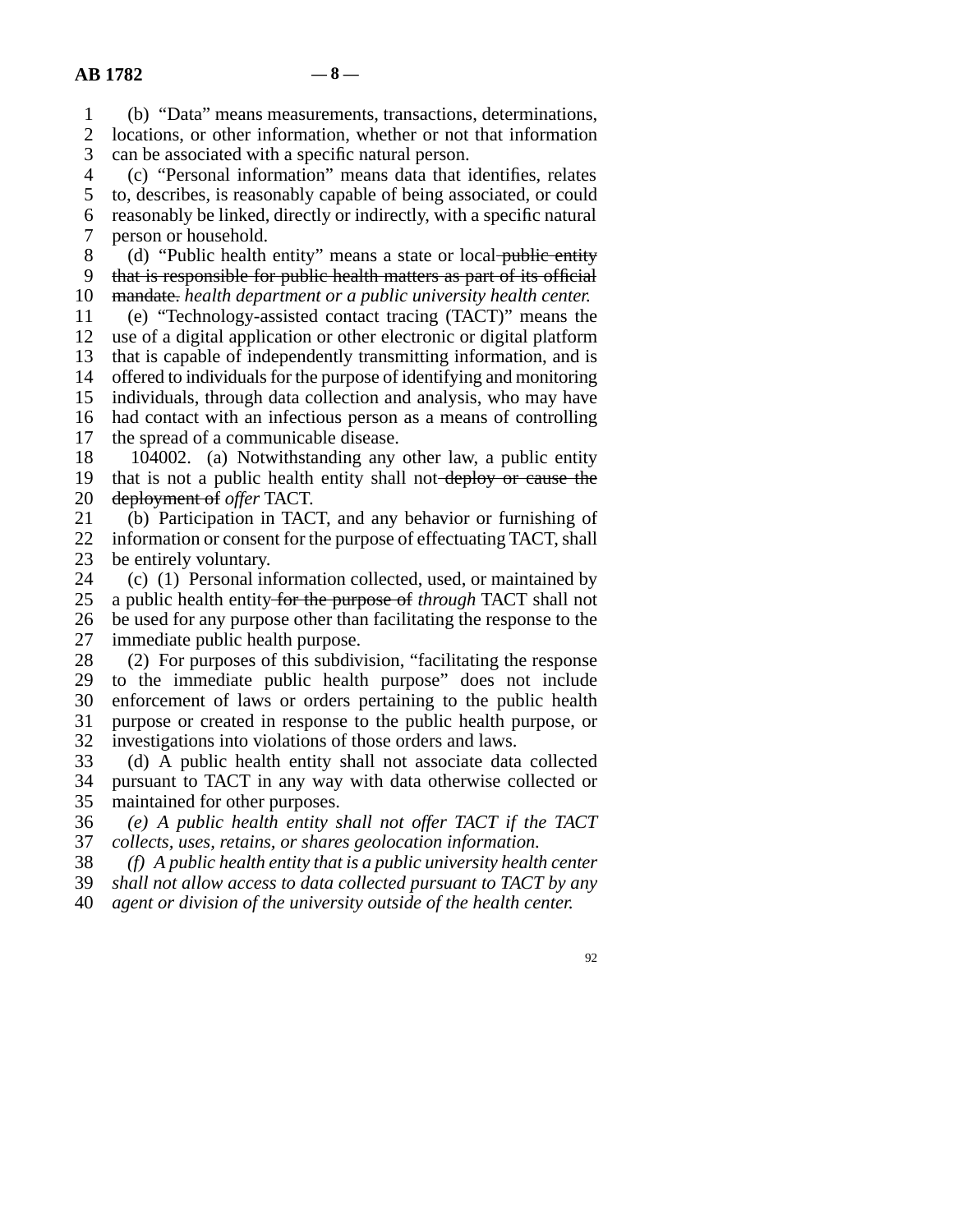line 1 (b) "Data" means measurements, transactions, determinations, 2 locations, or other information, whether or not that information<br>3 can be associated with a specific natural person.

can be associated with a specific natural person.

 line 4 (c) "Personal information" means data that identifies, relates 5 to, describes, is reasonably capable of being associated, or could line 6 reasonably be linked, directly or indirectly, with a specific natural 7 person or household.

8 (d) "Public health entity" means a state or local public entity 9 that is responsible for public health matters as part of its official 10 mandate. *health department or a public university health center.* 

 line 11 (e) "Technology-assisted contact tracing (TACT)" means the 12 use of a digital application or other electronic or digital platform 13 that is capable of independently transmitting information, and is 14 offered to individuals for the purpose of identifying and monitoring 15 individuals, through data collection and analysis, who may have 16 had contact with an infectious person as a means of controlling 17 the spread of a communicable disease.

18 104002. (a) Notwithstanding any other law, a public entity 19 that is not a public health entity shall not-deploy or cause the 20 <del>deployment of</del> offer TACT.

21 (b) Participation in TACT, and any behavior or furnishing of 22 information or consent for the purpose of effectuating TACT, shall<br>23 be entirely voluntary. be entirely voluntary.

24 (c) (1) Personal information collected, used, or maintained by a public health entity for the purpose of *through* TACT shall not a public health entity for the purpose of *through* TACT shall not 26 be used for any purpose other than facilitating the response to the 27 immediate public health purpose.

28 (2) For purposes of this subdivision, "facilitating the response 29 to the immediate public health purpose" does not include 30 enforcement of laws or orders pertaining to the public health 31 purpose or created in response to the public health purpose, or 32 investigations into violations of those orders and laws.<br>33 (d) A public health entity shall not associate data

(d) A public health entity shall not associate data collected 34 pursuant to TACT in any way with data otherwise collected or 35 maintained for other purposes.

 line 36 *(e) A public health entity shall not offer TACT if the TACT*  37 *collects, uses, retains, or shares geolocation information.* 

line 38 *(f) A public health entity that is a public university health center* 

line 39 *shall not allow access to data collected pursuant to TACT by any* 

line 40 *agent or division of the university outside of the health center.*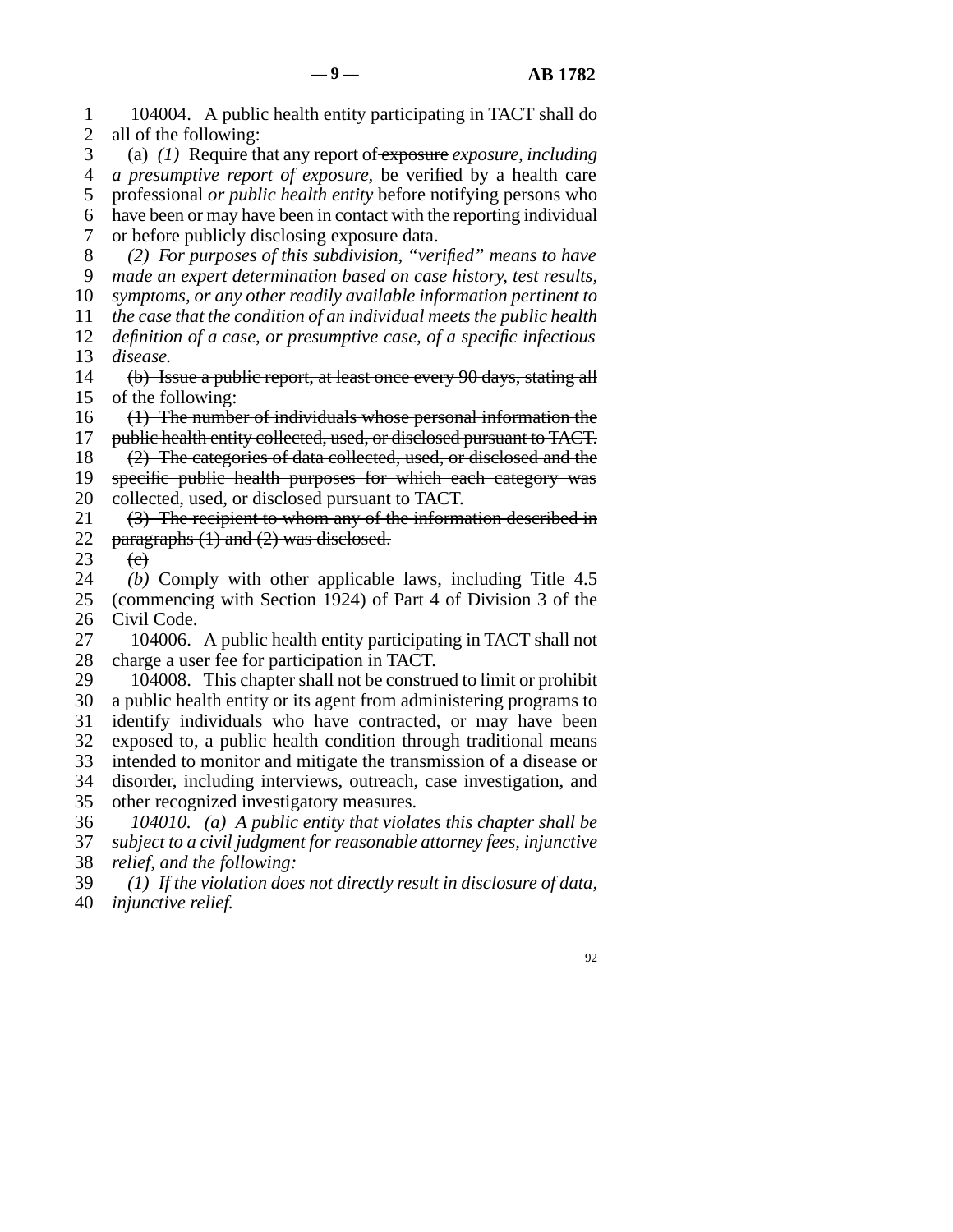line 1 104004. A public health entity participating in TACT shall do 2 all of the following: line 3 (a) *(1)* Require that any report of exposure *exposure, including*  line 4 *a presumptive report of exposure,* be verified by a health care 5 professional *or public health entity* before notifying persons who 6 have been or may have been in contact with the reporting individual 7 or before publicly disclosing exposure data. line 8 *(2) For purposes of this subdivision, "verified" means to have*  line 9 *made an expert determination based on case history, test results,*  10 *symptoms, or any other readily available information pertinent to*  line 11 *the case that the condition of an individual meets the public health*  12 *definition of a case, or presumptive case, of a specific infectious* 13 *disease.* 14 (b) Issue a public report, at least once every 90 days, stating all 15 of the following:  $16$  (1) The number of individuals whose personal information the 17 public health entity collected, used, or disclosed pursuant to TACT.  $18$  (2) The categories of data collected, used, or disclosed and the 19 specific public health purposes for which each category was 20 collected, used, or disclosed pursuant to TACT. 21  $(3)$  The recipient to whom any of the information described in 22 paragraphs  $(1)$  and  $(2)$  was disclosed.<br>23  $(e)$  $\Theta$ 24 *(b)* Comply with other applicable laws, including Title 4.5<br>25 (commencing with Section 1924) of Part 4 of Division 3 of the (commencing with Section 1924) of Part 4 of Division 3 of the 26 Civil Code. 27 104006. A public health entity participating in TACT shall not 28 charge a user fee for participation in TACT. 29 104008. This chapter shall not be construed to limit or prohibit 30 a public health entity or its agent from administering programs to 31 identify individuals who have contracted, or may have been 32 exposed to, a public health condition through traditional means 33 intended to monitor and mitigate the transmission of a disease or 34 disorder, including interviews, outreach, case investigation, and 35 other recognized investigatory measures. line 36 *104010. (a) A public entity that violates this chapter shall be*  line 37 *subject to a civil judgment for reasonable attorney fees, injunctive*  38 *relief, and the following:*  line 39 *(1) If the violation does not directly result in disclosure of data,*   $-9 - 4B 1782$ 

40 *injunctive relief.*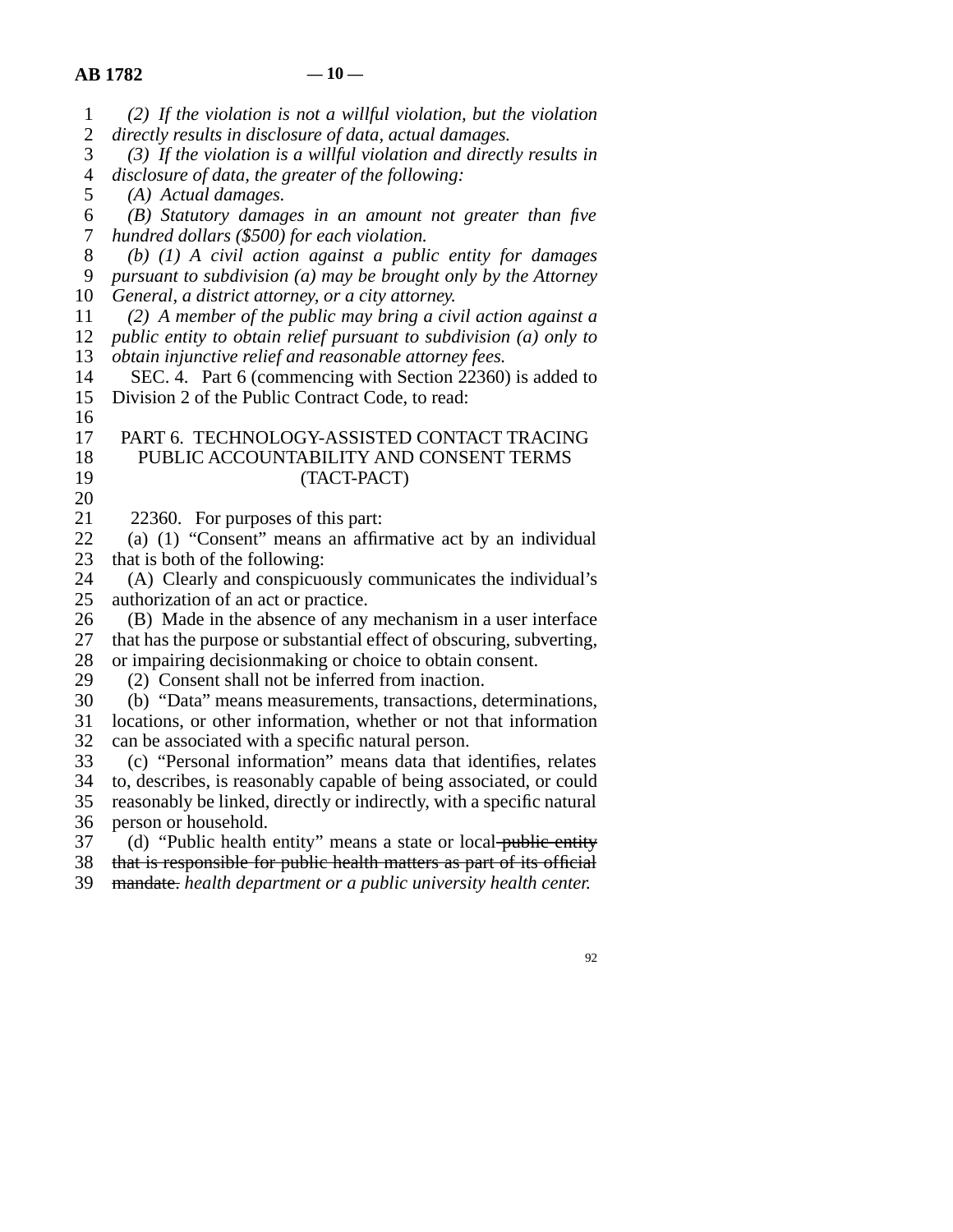| $\mathbf{1}$             | $(2)$ If the violation is not a willful violation, but the violation  |
|--------------------------|-----------------------------------------------------------------------|
| $\overline{2}$           | directly results in disclosure of data, actual damages.               |
| 3                        | $(3)$ If the violation is a willful violation and directly results in |
| $\overline{\mathcal{A}}$ | disclosure of data, the greater of the following:                     |
| 5                        | (A) Actual damages.                                                   |
| 6                        | $(B)$ Statutory damages in an amount not greater than five            |
| 7                        | hundred dollars (\$500) for each violation.                           |
| 8                        | (b) $(1)$ A civil action against a public entity for damages          |
| 9                        | pursuant to subdivision $(a)$ may be brought only by the Attorney     |
| 10                       | General, a district attorney, or a city attorney.                     |
| 11                       | $(2)$ A member of the public may bring a civil action against a       |
| 12                       | public entity to obtain relief pursuant to subdivision $(a)$ only to  |
| 13                       | obtain injunctive relief and reasonable attorney fees.                |
| 14                       | SEC. 4. Part 6 (commencing with Section 22360) is added to            |
| 15                       | Division 2 of the Public Contract Code, to read:                      |
| 16                       |                                                                       |
| 17                       | PART 6. TECHNOLOGY-ASSISTED CONTACT TRACING                           |
| 18                       | PUBLIC ACCOUNTABILITY AND CONSENT TERMS                               |
| 19                       | (TACT-PACT)                                                           |
| 20                       |                                                                       |
| 21                       | 22360. For purposes of this part:                                     |
| 22                       | (a) (1) "Consent" means an affirmative act by an individual           |
| 23                       | that is both of the following:                                        |
| 24                       | (A) Clearly and conspicuously communicates the individual's           |
| 25                       | authorization of an act or practice.                                  |
| 26                       | (B) Made in the absence of any mechanism in a user interface          |
| 27                       | that has the purpose or substantial effect of obscuring, subverting,  |
| 28                       | or impairing decisionmaking or choice to obtain consent.              |
| 29                       | (2) Consent shall not be inferred from inaction.                      |
| 30                       | (b) "Data" means measurements, transactions, determinations,          |
| 31                       | locations, or other information, whether or not that information      |
| 32                       | can be associated with a specific natural person.                     |
| 33                       | (c) "Personal information" means data that identifies, relates        |
| 34                       | to, describes, is reasonably capable of being associated, or could    |
| 35                       | reasonably be linked, directly or indirectly, with a specific natural |
| 36                       | person or household.                                                  |
| 37                       | (d) "Public health entity" means a state or local-public entity       |
| 38                       | that is responsible for public health matters as part of its official |
| 39                       | mandate. health department or a public university health center.      |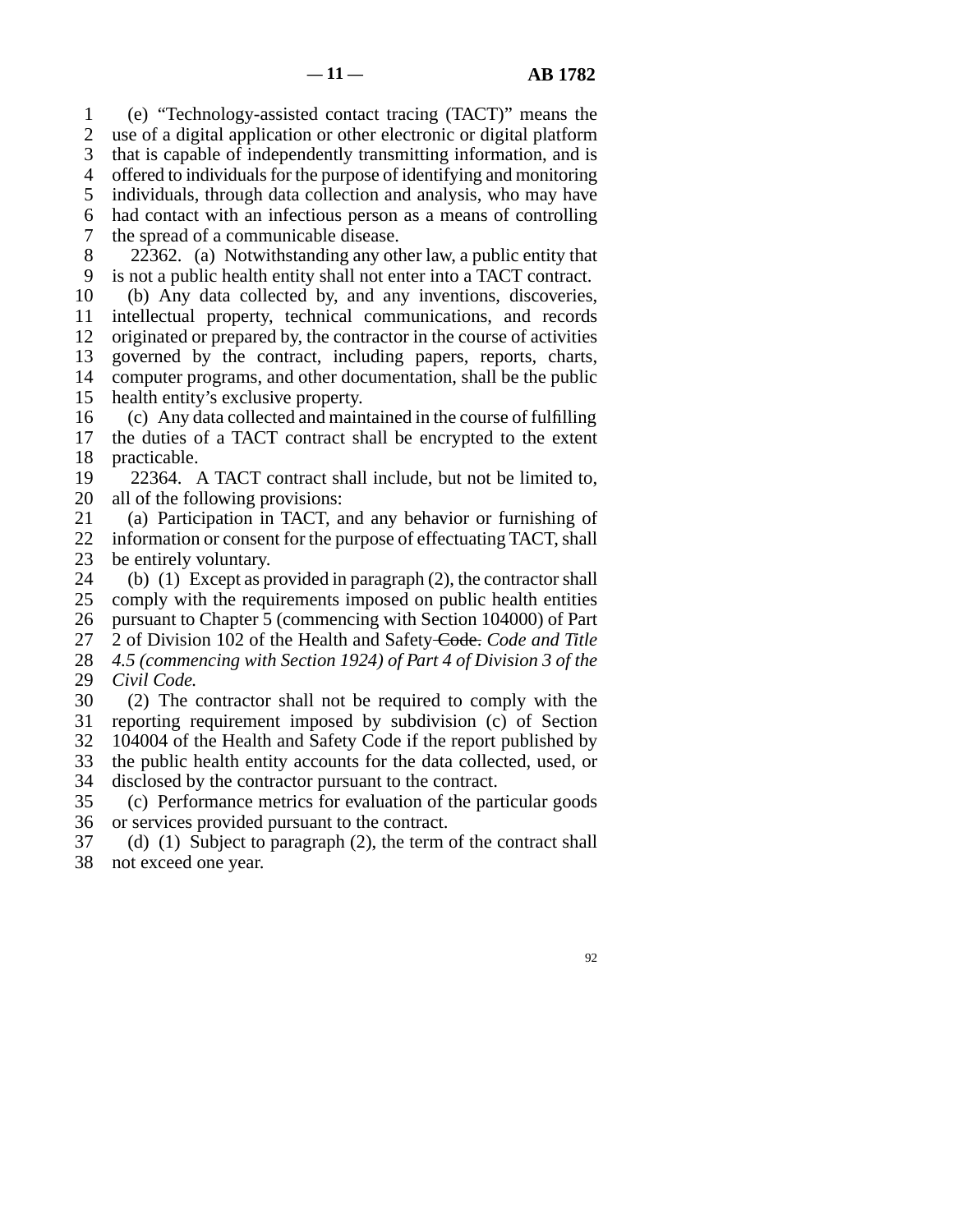line 1 (e) "Technology-assisted contact tracing (TACT)" means the 2 use of a digital application or other electronic or digital platform 3 that is capable of independently transmitting information, and is 4 offered to individuals for the purpose of identifying and monitoring 5 individuals, through data collection and analysis, who may have line 6 had contact with an infectious person as a means of controlling 7 the spread of a communicable disease. 8 22362. (a) Notwithstanding any other law, a public entity that

9 is not a public health entity shall not enter into a TACT contract. 10 (b) Any data collected by, and any inventions, discoveries, 11 intellectual property, technical communications, and records 12 originated or prepared by, the contractor in the course of activities 13 governed by the contract, including papers, reports, charts, 14 computer programs, and other documentation, shall be the public 15 health entity's exclusive property.

16 (c) Any data collected and maintained in the course of fulfilling 17 the duties of a TACT contract shall be encrypted to the extent 18 practicable. practicable.

- 19 22364. A TACT contract shall include, but not be limited to, 20 all of the following provisions:
- 21 (a) Participation in TACT, and any behavior or furnishing of 22 information or consent for the purpose of effectuating TACT, shall 23 be entirely voluntary.
- 24 (b) (1) Except as provided in paragraph (2), the contractor shall 25 comply with the requirements imposed on public health entities comply with the requirements imposed on public health entities 26 pursuant to Chapter 5 (commencing with Section 104000) of Part line 27 2 of Division 102 of the Health and Safety Code. *Code and Title*
- 28 *4.5 (commencing with Section 1924) of Part 4 of Division 3 of the* 29 *Civil Code.*
- 30 (2) The contractor shall not be required to comply with the 31 reporting requirement imposed by subdivision (c) of Section 32 104004 of the Health and Safety Code if the report published by
- 33 the public health entity accounts for the data collected, used, or
- 34 disclosed by the contractor pursuant to the contract.
- line 35 (c) Performance metrics for evaluation of the particular goods 36 or services provided pursuant to the contract.
- 37 (d) (1) Subject to paragraph  $(2)$ , the term of the contract shall 38 not exceed one year.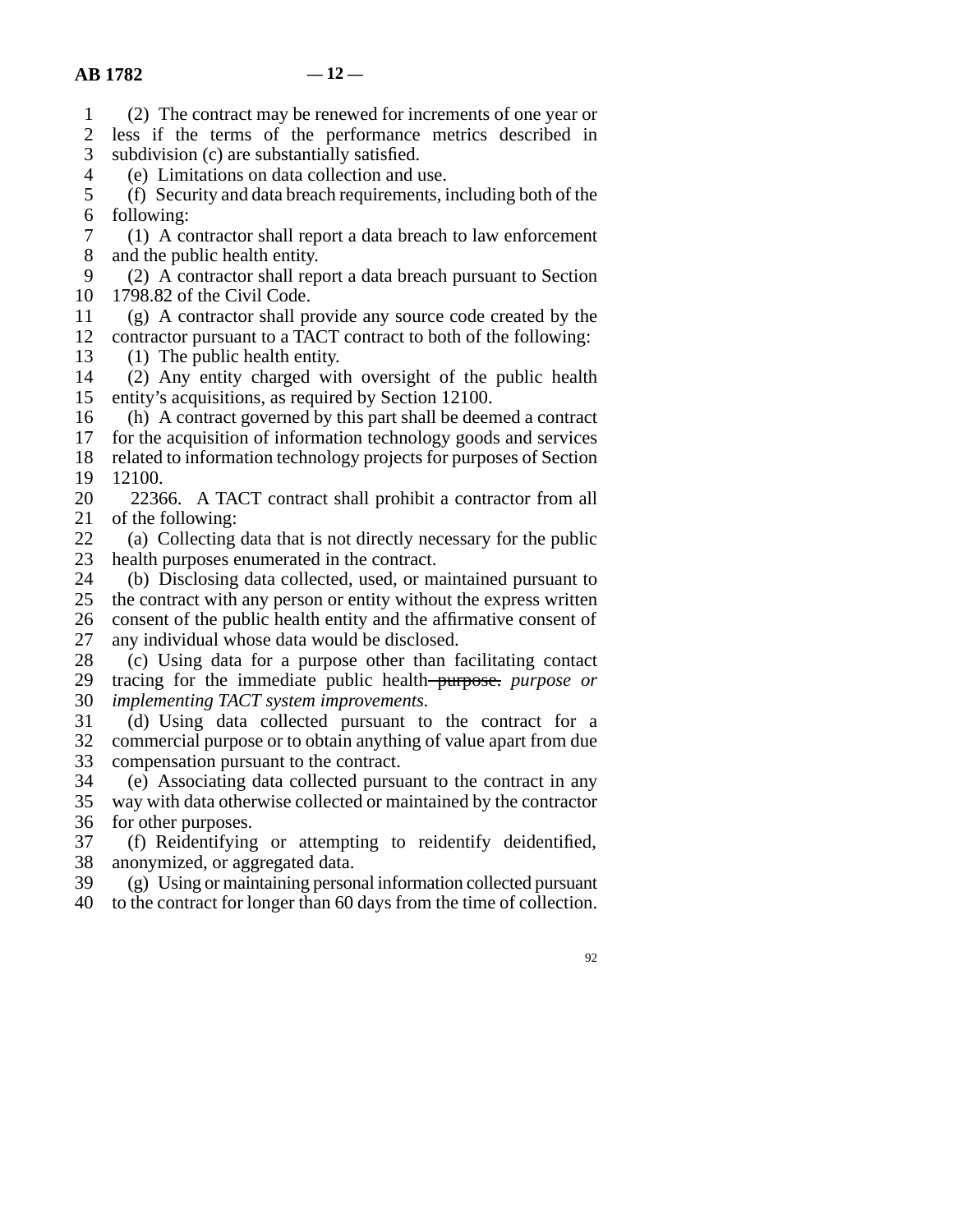line 1 (2) The contract may be renewed for increments of one year or

2 less if the terms of the performance metrics described in subdivision (c) are substantially satisfied. subdivision (c) are substantially satisfied.

4 (e) Limitations on data collection and use.

 line 5 (f) Security and data breach requirements, including both of the 6 following:

7 (1) A contractor shall report a data breach to law enforcement 8 and the public health entity.

9 (2) A contractor shall report a data breach pursuant to Section 10 1798.82 of the Civil Code.

- $\ln$  (g) A contractor shall provide any source code created by the 12 contractor pursuant to a TACT contract to both of the following:
- 
- 13 (1) The public health entity.<br>14 (2) Any entity charged wit  $\lambda$  (2) Any entity charged with oversight of the public health 15 entity's acquisitions, as required by Section 12100.
- $16$  (h) A contract governed by this part shall be deemed a contract
- 17 for the acquisition of information technology goods and services

18 related to information technology projects for purposes of Section 19 12100.

- 20 22366. A TACT contract shall prohibit a contractor from all 21 of the following:
- 22 (a) Collecting data that is not directly necessary for the public<br>23 health purposes enumerated in the contract. health purposes enumerated in the contract.
- 24 (b) Disclosing data collected, used, or maintained pursuant to 25 the contract with any person or entity without the express written the contract with any person or entity without the express written 26 consent of the public health entity and the affirmative consent of 27 any individual whose data would be disclosed.

28 (c) Using data for a purpose other than facilitating contact line 29 tracing for the immediate public health purpose. *purpose or*  30 *implementing TACT system improvements.* 

31 (d) Using data collected pursuant to the contract for a 32 commercial purpose or to obtain anything of value apart from due 33 compensation pursuant to the contract.

 line 34 (e) Associating data collected pursuant to the contract in any 35 way with data otherwise collected or maintained by the contractor 36 for other purposes.

37 (f) Reidentifying or attempting to reidentify deidentified, 38 anonymized, or aggregated data.<br>39 (g) Using or maintaining person

 $(g)$  Using or maintaining personal information collected pursuant

40 to the contract for longer than 60 days from the time of collection.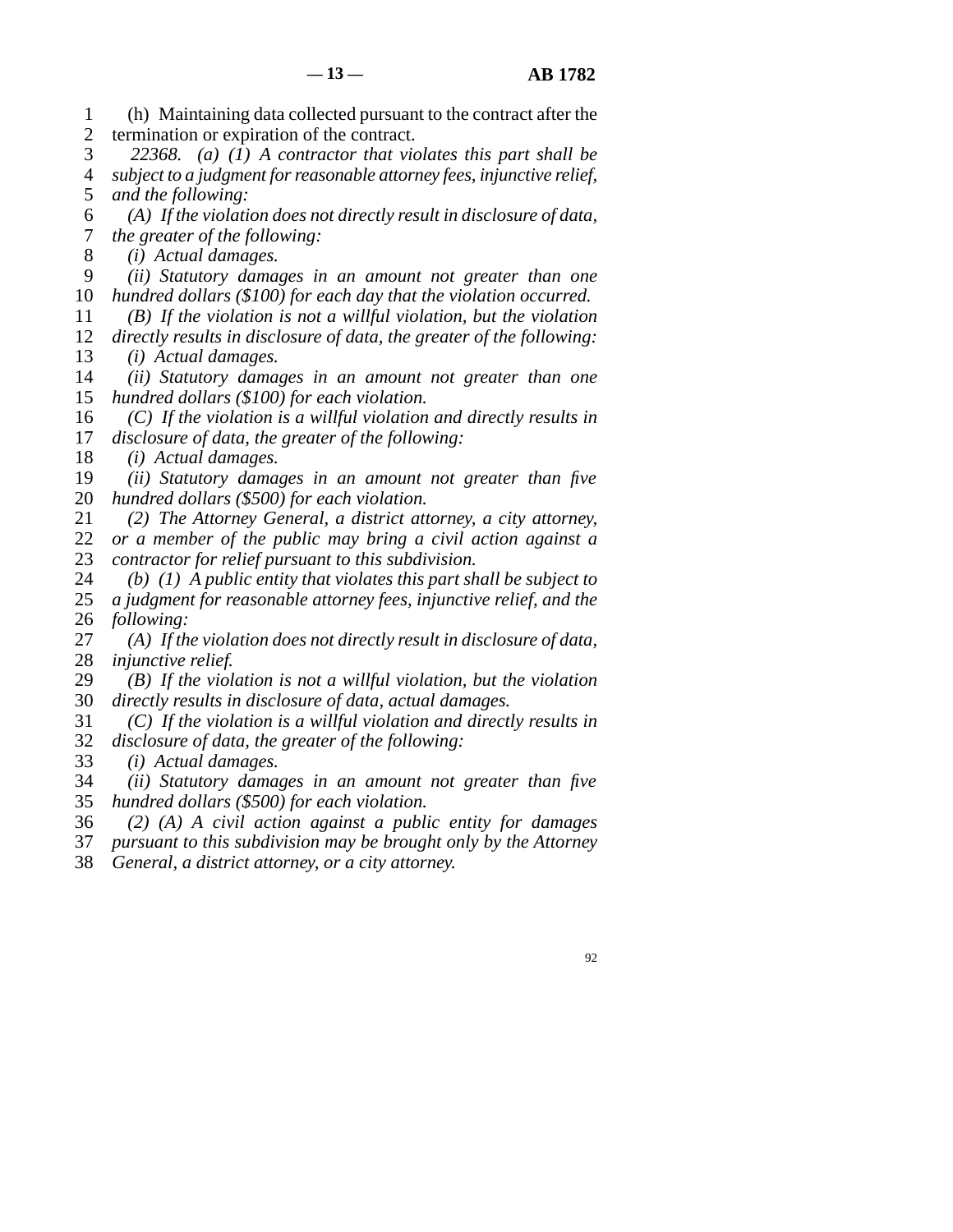line 1 (h) Maintaining data collected pursuant to the contract after the 2 termination or expiration of the contract.

 line 3 *22368. (a) (1) A contractor that violates this part shall be*  line 4 *subject to a judgment for reasonable attorney fees, injunctive relief,*  5 *and the following:* 

 line 6 *(A) If the violation does not directly result in disclosure of data,*  7 *the greater of the following:* 

8 (*i)* Actual damages.

- line 9 *(ii) Statutory damages in an amount not greater than one*  10 *hundred dollars (\$100) for each day that the violation occurred.*
- line 11 *(B) If the violation is not a willful violation, but the violation*  12 *directly results in disclosure of data, the greater of the following:*

13 *(i) Actual damages.* 

- 14 *(ii)* Statutory damages in an amount not greater than one 15 *hundred dollars (\$100) for each violation.*
- 16 (C) If the violation is a willful violation and directly results in 17 *disclosure of data, the greater of the following:*

18 *(i) Actual damages.* 

- 19 *(ii)* Statutory damages in an amount not greater than five 20 *hundred dollars (\$500) for each violation.*
- line 21 *(2) The Attorney General, a district attorney, a city attorney,*  22 *or a member of the public may bring a civil action against a* 23 *contractor for relief pursuant to this subdivision.*
- 24 *(b)* (1) A public entity that violates this part shall be subject to 25 a judgment for reasonable attorney fees, injunctive relief, and the a judgment for reasonable attorney fees, injunctive relief, and the 26 *following:*
- 27 (A) If the violation does not directly result in disclosure of data, 28 *injunctive relief.*
- line 29 *(B) If the violation is not a willful violation, but the violation*  30 *directly results in disclosure of data, actual damages.*
- line 31 *(C) If the violation is a willful violation and directly results in*  line 32 *disclosure of data, the greater of the following:*
- 33 *(i) Actual damages.*
- line 34 *(ii) Statutory damages in an amount not greater than five*  35 *hundred dollars (\$500) for each violation.*
- line 36 *(2) (A) A civil action against a public entity for damages*
- line 37 *pursuant to this subdivision may be brought only by the Attorney*  38 *General, a district attorney, or a city attorney.*
-